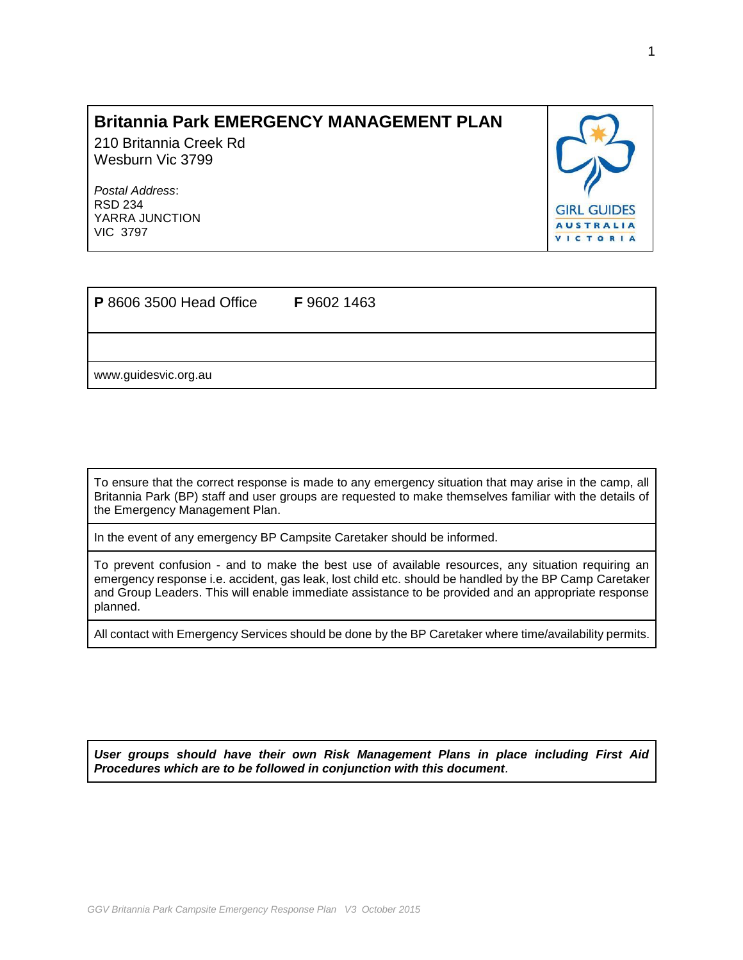# **Britannia Park EMERGENCY MANAGEMENT PLAN**

210 Britannia Creek Rd Wesburn Vic 3799

*Postal Address*: RSD 234 YARRA JUNCTION VIC 3797



| <b>P</b> 8606 3500 Head Office | F 9602 1463 |  |
|--------------------------------|-------------|--|
|                                |             |  |
| www.guidesvic.org.au           |             |  |

To ensure that the correct response is made to any emergency situation that may arise in the camp, all Britannia Park (BP) staff and user groups are requested to make themselves familiar with the details of the Emergency Management Plan.

In the event of any emergency BP Campsite Caretaker should be informed.

To prevent confusion - and to make the best use of available resources, any situation requiring an emergency response i.e. accident, gas leak, lost child etc. should be handled by the BP Camp Caretaker and Group Leaders. This will enable immediate assistance to be provided and an appropriate response planned.

All contact with Emergency Services should be done by the BP Caretaker where time/availability permits.

*User groups should have their own Risk Management Plans in place including First Aid Procedures which are to be followed in conjunction with this document.*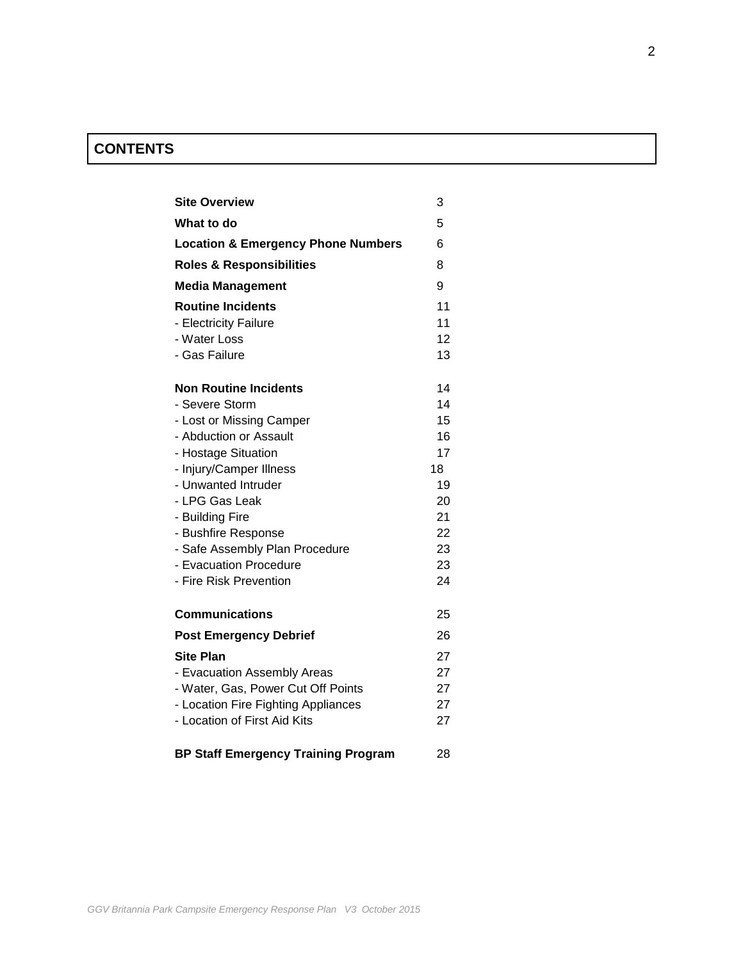# **CONTENTS**

| <b>Site Overview</b>                          | 3  |
|-----------------------------------------------|----|
| What to do                                    | 5  |
| <b>Location &amp; Emergency Phone Numbers</b> | 6  |
| <b>Roles &amp; Responsibilities</b>           | 8  |
| <b>Media Management</b>                       | 9  |
| <b>Routine Incidents</b>                      | 11 |
| - Electricity Failure                         | 11 |
| - Water Loss                                  | 12 |
| - Gas Failure                                 | 13 |
| <b>Non Routine Incidents</b>                  | 14 |
| - Severe Storm                                | 14 |
| - Lost or Missing Camper                      | 15 |
| - Abduction or Assault                        | 16 |
| - Hostage Situation                           | 17 |
| - Injury/Camper Illness                       | 18 |
| - Unwanted Intruder                           | 19 |
| - LPG Gas Leak                                | 20 |
| - Building Fire                               | 21 |
| - Bushfire Response                           | 22 |
| - Safe Assembly Plan Procedure                | 23 |
| - Evacuation Procedure                        | 23 |
| - Fire Risk Prevention                        | 24 |
| <b>Communications</b>                         | 25 |
| <b>Post Emergency Debrief</b>                 | 26 |
| <b>Site Plan</b>                              | 27 |
| - Evacuation Assembly Areas                   | 27 |
| - Water, Gas, Power Cut Off Points            | 27 |
| - Location Fire Fighting Appliances           | 27 |
| - Location of First Aid Kits                  | 27 |
| <b>BP Staff Emergency Training Program</b>    | 28 |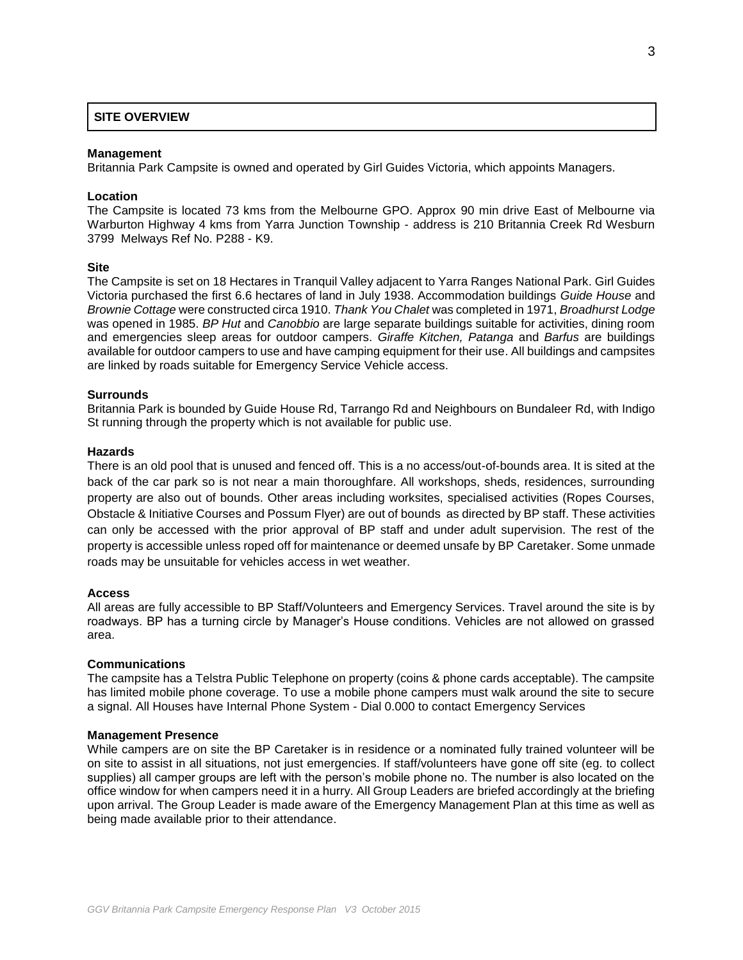#### **SITE OVERVIEW**

#### **Management**

Britannia Park Campsite is owned and operated by Girl Guides Victoria, which appoints Managers.

#### **Location**

The Campsite is located 73 kms from the Melbourne GPO. Approx 90 min drive East of Melbourne via Warburton Highway 4 kms from Yarra Junction Township - address is 210 Britannia Creek Rd Wesburn 3799 Melways Ref No. P288 - K9.

#### **Site**

The Campsite is set on 18 Hectares in Tranquil Valley adjacent to Yarra Ranges National Park. Girl Guides Victoria purchased the first 6.6 hectares of land in July 1938. Accommodation buildings *Guide House* and *Brownie Cottage* were constructed circa 1910. *Thank You Chalet* was completed in 1971, *Broadhurst Lodge*  was opened in 1985. *BP Hut* and *Canobbio* are large separate buildings suitable for activities, dining room and emergencies sleep areas for outdoor campers. *Giraffe Kitchen, Patanga* and *Barfus* are buildings available for outdoor campers to use and have camping equipment for their use. All buildings and campsites are linked by roads suitable for Emergency Service Vehicle access.

#### **Surrounds**

Britannia Park is bounded by Guide House Rd, Tarrango Rd and Neighbours on Bundaleer Rd, with Indigo St running through the property which is not available for public use.

#### **Hazards**

There is an old pool that is unused and fenced off. This is a no access/out-of-bounds area. It is sited at the back of the car park so is not near a main thoroughfare. All workshops, sheds, residences, surrounding property are also out of bounds. Other areas including worksites, specialised activities (Ropes Courses, Obstacle & Initiative Courses and Possum Flyer) are out of bounds as directed by BP staff. These activities can only be accessed with the prior approval of BP staff and under adult supervision. The rest of the property is accessible unless roped off for maintenance or deemed unsafe by BP Caretaker. Some unmade roads may be unsuitable for vehicles access in wet weather.

#### **Access**

All areas are fully accessible to BP Staff/Volunteers and Emergency Services. Travel around the site is by roadways. BP has a turning circle by Manager's House conditions. Vehicles are not allowed on grassed area.

#### **Communications**

The campsite has a Telstra Public Telephone on property (coins & phone cards acceptable). The campsite has limited mobile phone coverage. To use a mobile phone campers must walk around the site to secure a signal. All Houses have Internal Phone System - Dial 0.000 to contact Emergency Services

#### **Management Presence**

While campers are on site the BP Caretaker is in residence or a nominated fully trained volunteer will be on site to assist in all situations, not just emergencies. If staff/volunteers have gone off site (eg. to collect supplies) all camper groups are left with the person's mobile phone no. The number is also located on the office window for when campers need it in a hurry. All Group Leaders are briefed accordingly at the briefing upon arrival. The Group Leader is made aware of the Emergency Management Plan at this time as well as being made available prior to their attendance.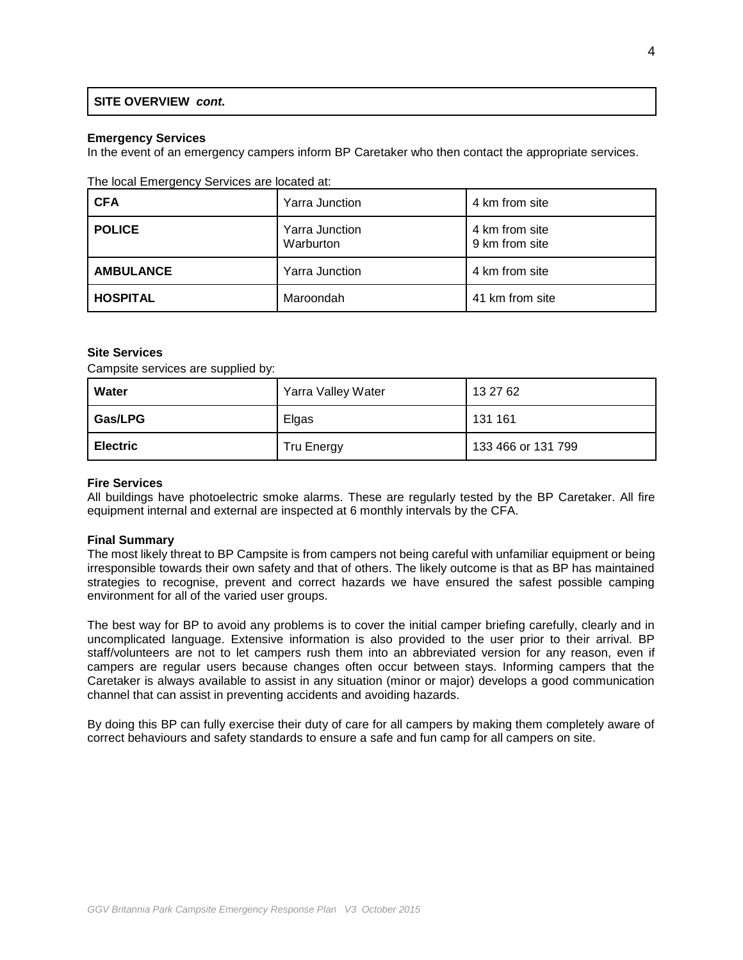## **SITE OVERVIEW** *cont.*

#### **Emergency Services**

In the event of an emergency campers inform BP Caretaker who then contact the appropriate services.

#### The local Emergency Services are located at:

| <b>CFA</b>       | <b>Yarra Junction</b>              | 4 km from site                   |
|------------------|------------------------------------|----------------------------------|
| <b>POLICE</b>    | <b>Yarra Junction</b><br>Warburton | 4 km from site<br>9 km from site |
| <b>AMBULANCE</b> | <b>Yarra Junction</b>              | 4 km from site                   |
| <b>HOSPITAL</b>  | Maroondah                          | 41 km from site                  |

#### **Site Services**

Campsite services are supplied by:

| Water           | Yarra Valley Water | 13 27 62           |
|-----------------|--------------------|--------------------|
| Gas/LPG         | Elgas              | 131 161            |
| <b>Electric</b> | <b>Tru Energy</b>  | 133 466 or 131 799 |

#### **Fire Services**

All buildings have photoelectric smoke alarms. These are regularly tested by the BP Caretaker. All fire equipment internal and external are inspected at 6 monthly intervals by the CFA.

#### **Final Summary**

The most likely threat to BP Campsite is from campers not being careful with unfamiliar equipment or being irresponsible towards their own safety and that of others. The likely outcome is that as BP has maintained strategies to recognise, prevent and correct hazards we have ensured the safest possible camping environment for all of the varied user groups.

The best way for BP to avoid any problems is to cover the initial camper briefing carefully, clearly and in uncomplicated language. Extensive information is also provided to the user prior to their arrival. BP staff/volunteers are not to let campers rush them into an abbreviated version for any reason, even if campers are regular users because changes often occur between stays. Informing campers that the Caretaker is always available to assist in any situation (minor or major) develops a good communication channel that can assist in preventing accidents and avoiding hazards.

By doing this BP can fully exercise their duty of care for all campers by making them completely aware of correct behaviours and safety standards to ensure a safe and fun camp for all campers on site.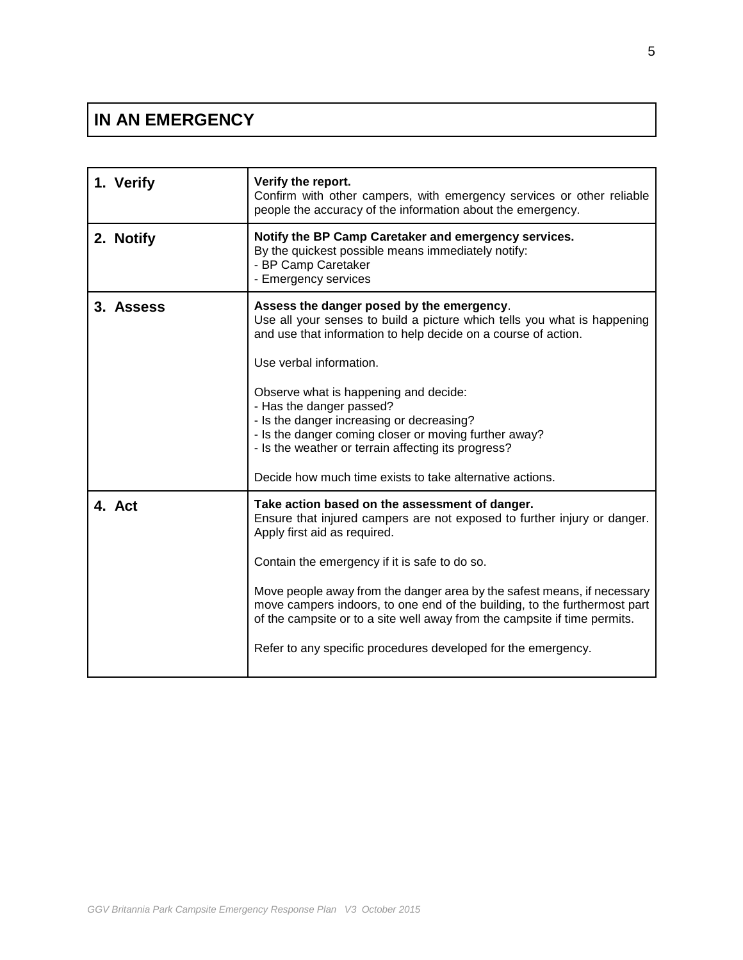# **IN AN EMERGENCY**

| 1. Verify | Verify the report.<br>Confirm with other campers, with emergency services or other reliable<br>people the accuracy of the information about the emergency.                                                                                                                                                                                                                                                                                                                                                        |
|-----------|-------------------------------------------------------------------------------------------------------------------------------------------------------------------------------------------------------------------------------------------------------------------------------------------------------------------------------------------------------------------------------------------------------------------------------------------------------------------------------------------------------------------|
| 2. Notify | Notify the BP Camp Caretaker and emergency services.<br>By the quickest possible means immediately notify:<br>- BP Camp Caretaker<br>- Emergency services                                                                                                                                                                                                                                                                                                                                                         |
| 3. Assess | Assess the danger posed by the emergency.<br>Use all your senses to build a picture which tells you what is happening<br>and use that information to help decide on a course of action.<br>Use verbal information.<br>Observe what is happening and decide:<br>- Has the danger passed?<br>- Is the danger increasing or decreasing?<br>- Is the danger coming closer or moving further away?<br>- Is the weather or terrain affecting its progress?<br>Decide how much time exists to take alternative actions.  |
| 4. Act    | Take action based on the assessment of danger.<br>Ensure that injured campers are not exposed to further injury or danger.<br>Apply first aid as required.<br>Contain the emergency if it is safe to do so.<br>Move people away from the danger area by the safest means, if necessary<br>move campers indoors, to one end of the building, to the furthermost part<br>of the campsite or to a site well away from the campsite if time permits.<br>Refer to any specific procedures developed for the emergency. |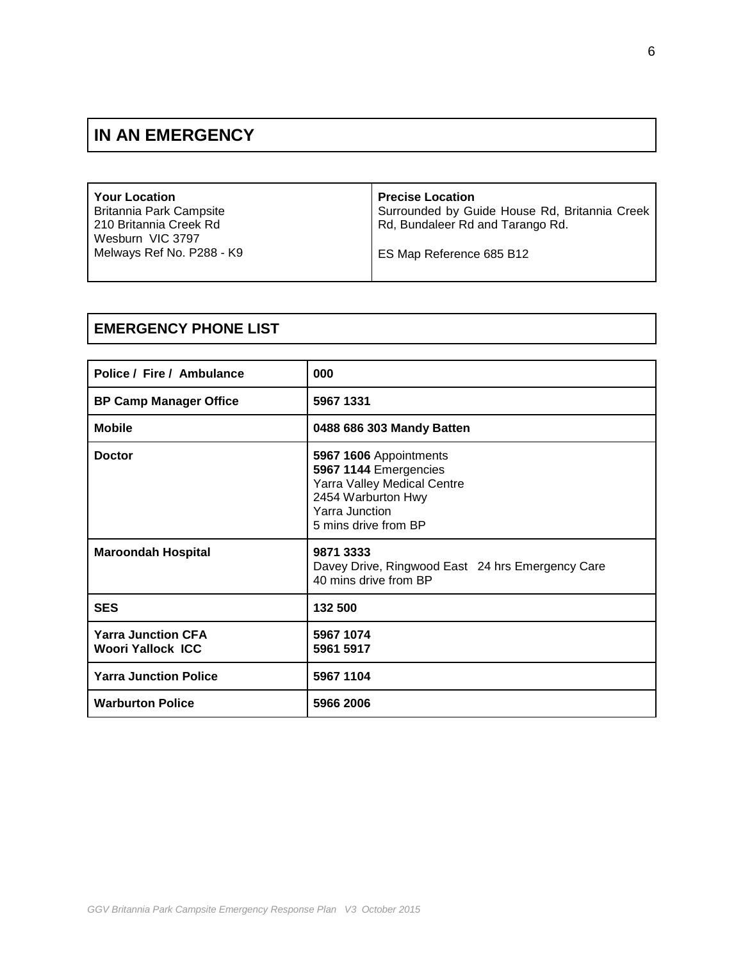# **IN AN EMERGENCY**

| <b>Your Location</b>      | <b>Precise Location</b>                       |
|---------------------------|-----------------------------------------------|
| Britannia Park Campsite   | Surrounded by Guide House Rd, Britannia Creek |
| 210 Britannia Creek Rd    | Rd, Bundaleer Rd and Tarango Rd.              |
| Wesburn VIC 3797          |                                               |
| Melways Ref No. P288 - K9 | ES Map Reference 685 B12                      |
|                           |                                               |

# **EMERGENCY PHONE LIST**

| Police / Fire / Ambulance                             | 000                                                                                                                                            |
|-------------------------------------------------------|------------------------------------------------------------------------------------------------------------------------------------------------|
| <b>BP Camp Manager Office</b>                         | 5967 1331                                                                                                                                      |
| <b>Mobile</b>                                         | 0488 686 303 Mandy Batten                                                                                                                      |
| <b>Doctor</b>                                         | 5967 1606 Appointments<br>5967 1144 Emergencies<br>Yarra Valley Medical Centre<br>2454 Warburton Hwy<br>Yarra Junction<br>5 mins drive from BP |
| <b>Maroondah Hospital</b>                             | 9871 3333<br>Davey Drive, Ringwood East 24 hrs Emergency Care<br>40 mins drive from BP                                                         |
| <b>SES</b>                                            | 132 500                                                                                                                                        |
| <b>Yarra Junction CFA</b><br><b>Woori Yallock ICC</b> | 5967 1074<br>5961 5917                                                                                                                         |
| <b>Yarra Junction Police</b>                          | 5967 1104                                                                                                                                      |
| <b>Warburton Police</b>                               | 5966 2006                                                                                                                                      |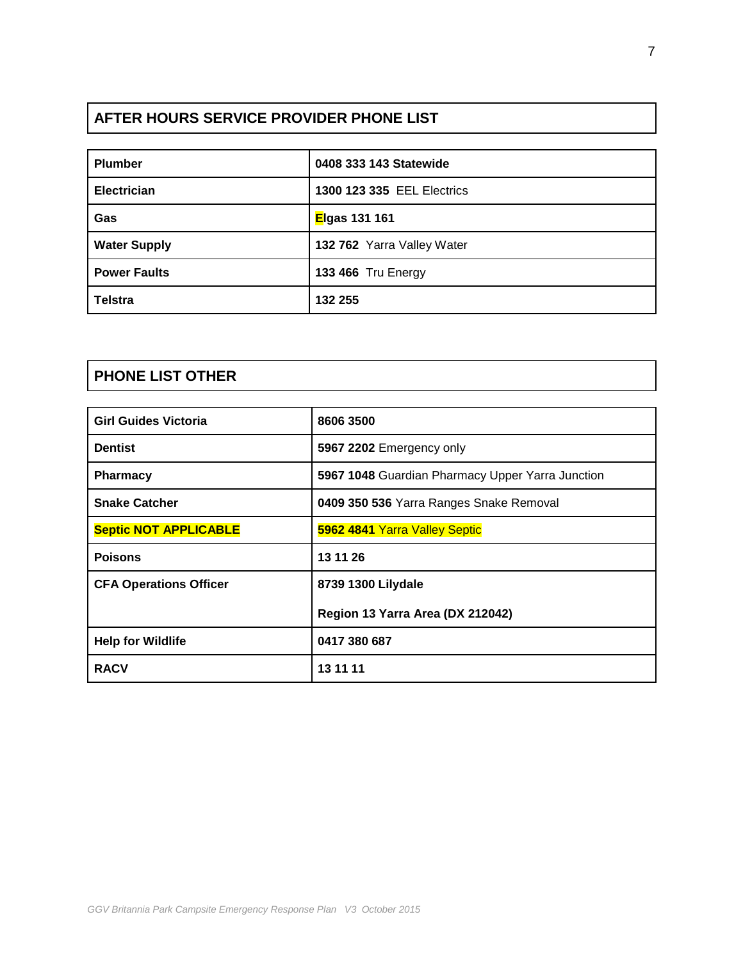# **AFTER HOURS SERVICE PROVIDER PHONE LIST**

| <b>Plumber</b>      | 0408 333 143 Statewide     |
|---------------------|----------------------------|
| <b>Electrician</b>  | 1300 123 335 EEL Electrics |
| Gas                 | Elgas 131 161              |
| <b>Water Supply</b> | 132 762 Yarra Valley Water |
| <b>Power Faults</b> | <b>133 466 Tru Energy</b>  |
| <b>Telstra</b>      | 132 255                    |

# **PHONE LIST OTHER**

| <b>Girl Guides Victoria</b>   | 8606 3500                                        |
|-------------------------------|--------------------------------------------------|
| <b>Dentist</b>                | 5967 2202 Emergency only                         |
| <b>Pharmacy</b>               | 5967 1048 Guardian Pharmacy Upper Yarra Junction |
| <b>Snake Catcher</b>          | 0409 350 536 Yarra Ranges Snake Removal          |
| <b>Septic NOT APPLICABLE</b>  | 5962 4841 Yarra Valley Septic                    |
| <b>Poisons</b>                | 13 11 26                                         |
| <b>CFA Operations Officer</b> | 8739 1300 Lilydale                               |
|                               | Region 13 Yarra Area (DX 212042)                 |
| <b>Help for Wildlife</b>      | 0417 380 687                                     |
| <b>RACV</b>                   | 13 11 11                                         |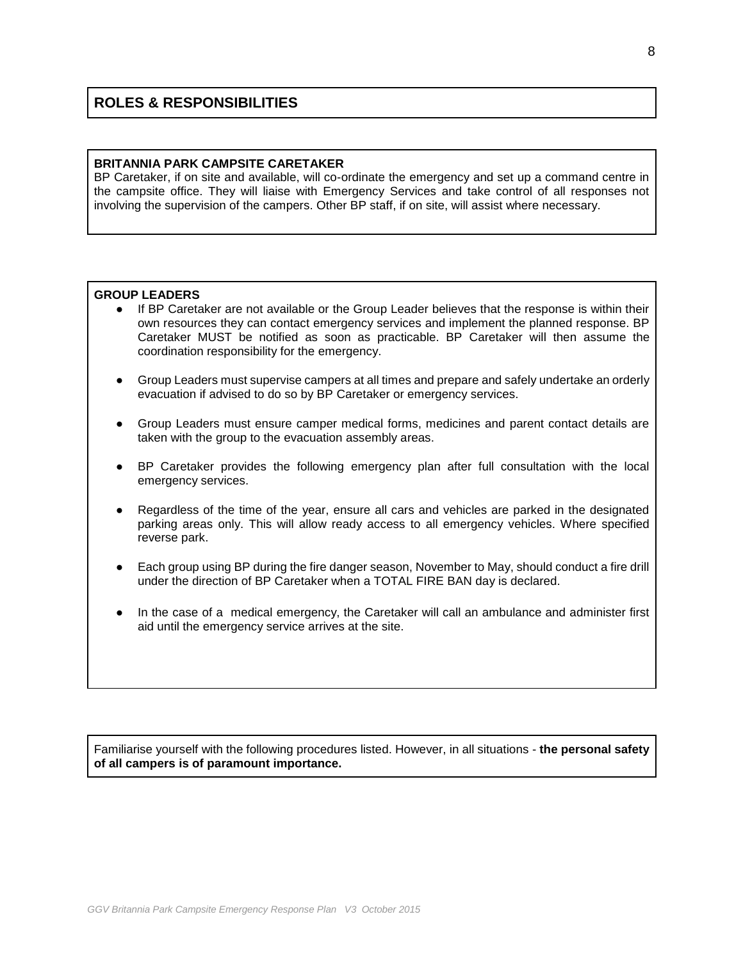# **ROLES & RESPONSIBILITIES**

#### **BRITANNIA PARK CAMPSITE CARETAKER**

BP Caretaker, if on site and available, will co-ordinate the emergency and set up a command centre in the campsite office. They will liaise with Emergency Services and take control of all responses not involving the supervision of the campers. Other BP staff, if on site, will assist where necessary.

### **GROUP LEADERS**

- If BP Caretaker are not available or the Group Leader believes that the response is within their own resources they can contact emergency services and implement the planned response. BP Caretaker MUST be notified as soon as practicable. BP Caretaker will then assume the coordination responsibility for the emergency.
- Group Leaders must supervise campers at all times and prepare and safely undertake an orderly evacuation if advised to do so by BP Caretaker or emergency services.
- Group Leaders must ensure camper medical forms, medicines and parent contact details are taken with the group to the evacuation assembly areas.
- BP Caretaker provides the following emergency plan after full consultation with the local emergency services.
- Regardless of the time of the year, ensure all cars and vehicles are parked in the designated parking areas only. This will allow ready access to all emergency vehicles. Where specified reverse park.
- Each group using BP during the fire danger season, November to May, should conduct a fire drill under the direction of BP Caretaker when a TOTAL FIRE BAN day is declared.
- In the case of a medical emergency, the Caretaker will call an ambulance and administer first aid until the emergency service arrives at the site.

Familiarise yourself with the following procedures listed. However, in all situations - **the personal safety of all campers is of paramount importance.**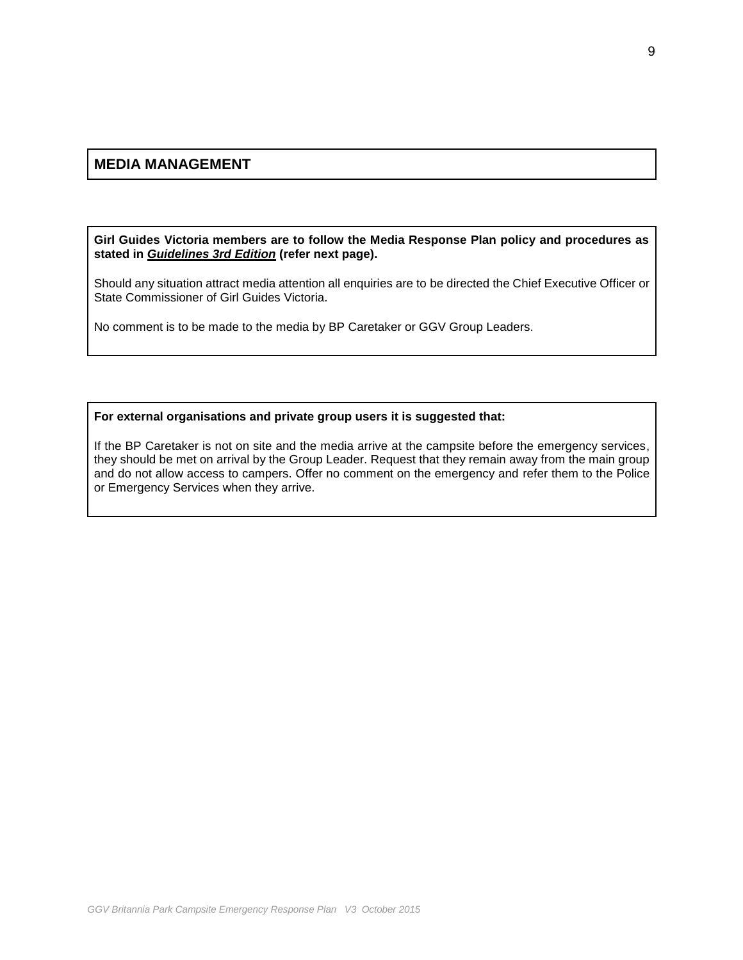## **MEDIA MANAGEMENT**

**Girl Guides Victoria members are to follow the Media Response Plan policy and procedures as stated in** *Guidelines 3rd Edition* **(refer next page).**

Should any situation attract media attention all enquiries are to be directed the Chief Executive Officer or State Commissioner of Girl Guides Victoria.

No comment is to be made to the media by BP Caretaker or GGV Group Leaders.

#### **For external organisations and private group users it is suggested that:**

If the BP Caretaker is not on site and the media arrive at the campsite before the emergency services, they should be met on arrival by the Group Leader. Request that they remain away from the main group and do not allow access to campers. Offer no comment on the emergency and refer them to the Police or Emergency Services when they arrive.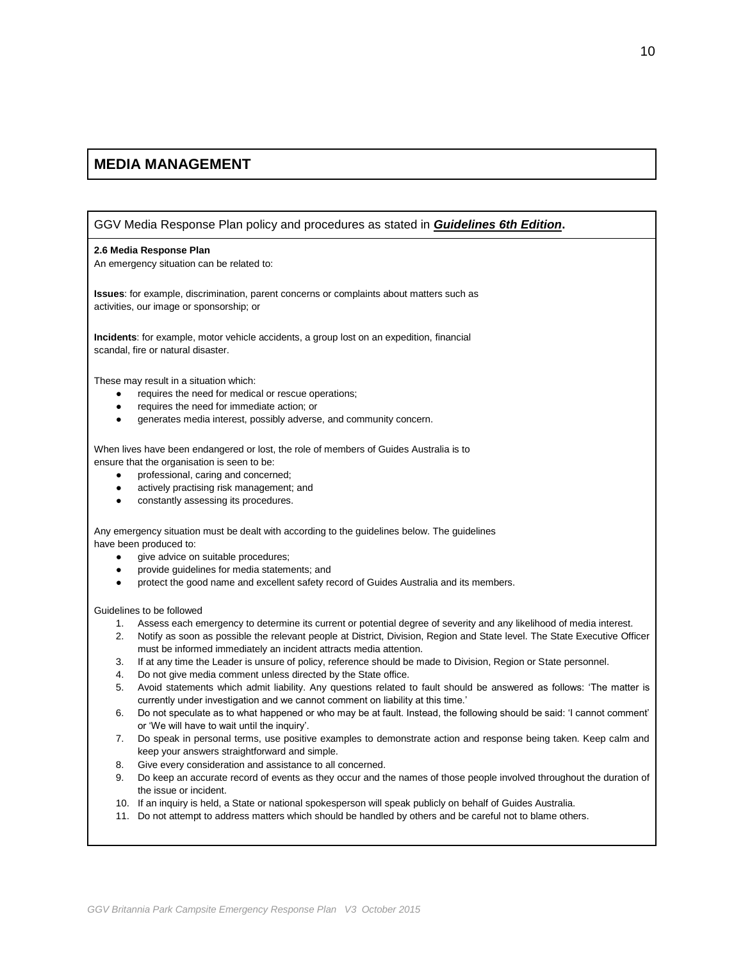## **MEDIA MANAGEMENT**

GGV Media Response Plan policy and procedures as stated in *Guidelines 6th Edition***.**

#### **2.6 Media Response Plan**

An emergency situation can be related to:

**Issues**: for example, discrimination, parent concerns or complaints about matters such as activities, our image or sponsorship; or

**Incidents**: for example, motor vehicle accidents, a group lost on an expedition, financial scandal, fire or natural disaster.

These may result in a situation which:

- requires the need for medical or rescue operations;
- requires the need for immediate action; or
- generates media interest, possibly adverse, and community concern.

When lives have been endangered or lost, the role of members of Guides Australia is to ensure that the organisation is seen to be:

- professional, caring and concerned;
- actively practising risk management; and
- constantly assessing its procedures.

Any emergency situation must be dealt with according to the guidelines below. The guidelines have been produced to:

- give advice on suitable procedures;
- provide quidelines for media statements; and
- protect the good name and excellent safety record of Guides Australia and its members.

Guidelines to be followed

- 1. Assess each emergency to determine its current or potential degree of severity and any likelihood of media interest.
- 2. Notify as soon as possible the relevant people at District, Division, Region and State level. The State Executive Officer must be informed immediately an incident attracts media attention.
- 3. If at any time the Leader is unsure of policy, reference should be made to Division, Region or State personnel.
- 4. Do not give media comment unless directed by the State office.
- 5. Avoid statements which admit liability. Any questions related to fault should be answered as follows: 'The matter is currently under investigation and we cannot comment on liability at this time.'
- 6. Do not speculate as to what happened or who may be at fault. Instead, the following should be said: 'I cannot comment' or 'We will have to wait until the inquiry'.
- 7. Do speak in personal terms, use positive examples to demonstrate action and response being taken. Keep calm and keep your answers straightforward and simple.
- 8. Give every consideration and assistance to all concerned.
- 9. Do keep an accurate record of events as they occur and the names of those people involved throughout the duration of the issue or incident.
- 10. If an inquiry is held, a State or national spokesperson will speak publicly on behalf of Guides Australia.
- 11. Do not attempt to address matters which should be handled by others and be careful not to blame others.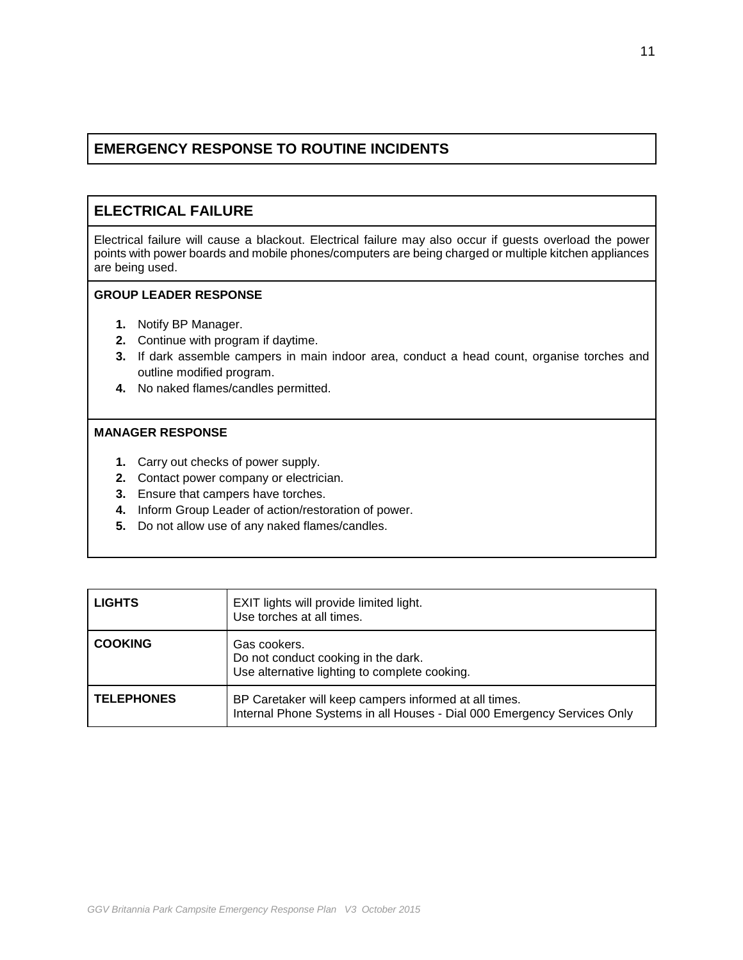# **ELECTRICAL FAILURE**

Electrical failure will cause a blackout. Electrical failure may also occur if guests overload the power points with power boards and mobile phones/computers are being charged or multiple kitchen appliances are being used.

## **GROUP LEADER RESPONSE**

- **1.** Notify BP Manager.
- **2.** Continue with program if daytime.
- **3.** If dark assemble campers in main indoor area, conduct a head count, organise torches and outline modified program.
- **4.** No naked flames/candles permitted.

- **1.** Carry out checks of power supply.
- **2.** Contact power company or electrician.
- **3.** Ensure that campers have torches.
- **4.** Inform Group Leader of action/restoration of power.
- **5.** Do not allow use of any naked flames/candles.

| <b>LIGHTS</b>     | EXIT lights will provide limited light.<br>Use torches at all times.                                                             |
|-------------------|----------------------------------------------------------------------------------------------------------------------------------|
| <b>COOKING</b>    | Gas cookers.<br>Do not conduct cooking in the dark.<br>Use alternative lighting to complete cooking.                             |
| <b>TELEPHONES</b> | BP Caretaker will keep campers informed at all times.<br>Internal Phone Systems in all Houses - Dial 000 Emergency Services Only |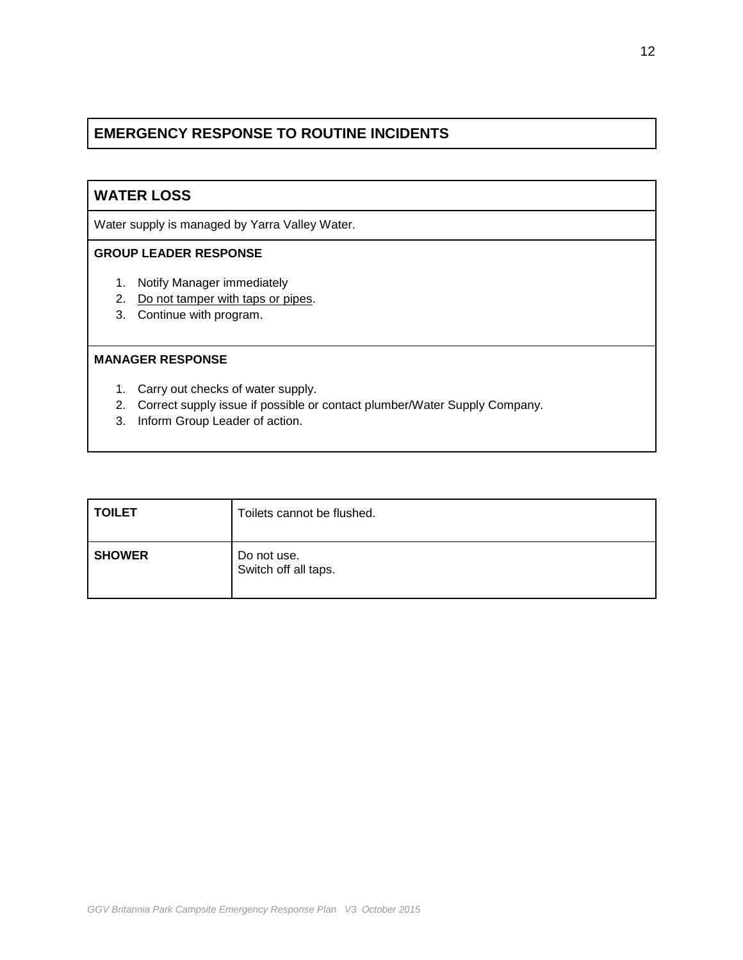# **WATER LOSS**

Water supply is managed by Yarra Valley Water.

## **GROUP LEADER RESPONSE**

- 1. Notify Manager immediately
- 2. Do not tamper with taps or pipes.
- 3. Continue with program.

- 1. Carry out checks of water supply.
- 2. Correct supply issue if possible or contact plumber/Water Supply Company.
- 3. Inform Group Leader of action.

| <b>TOILET</b> | Toilets cannot be flushed.          |
|---------------|-------------------------------------|
| <b>SHOWER</b> | Do not use.<br>Switch off all taps. |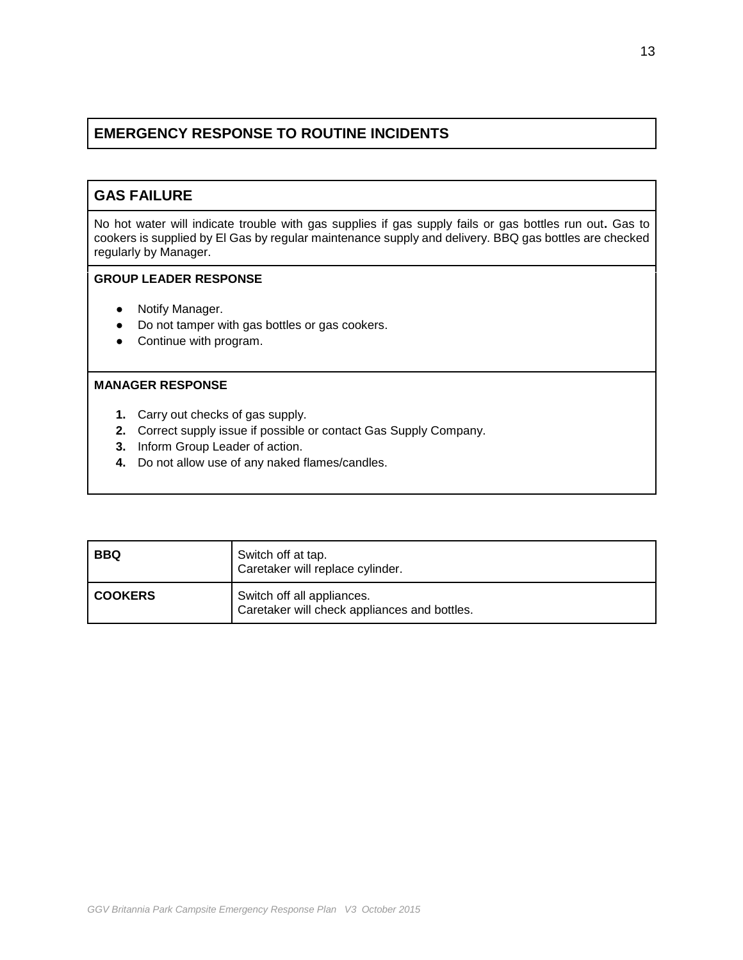# **GAS FAILURE**

No hot water will indicate trouble with gas supplies if gas supply fails or gas bottles run out**.** Gas to cookers is supplied by El Gas by regular maintenance supply and delivery. BBQ gas bottles are checked regularly by Manager.

## **GROUP LEADER RESPONSE**

- **●** Notify Manager.
- **●** Do not tamper with gas bottles or gas cookers.
- **●** Continue with program.

- **1.** Carry out checks of gas supply.
- **2.** Correct supply issue if possible or contact Gas Supply Company.
- **3.** Inform Group Leader of action.
- **4.** Do not allow use of any naked flames/candles.

| <b>BBQ</b>     | Switch off at tap.<br>Caretaker will replace cylinder.                     |
|----------------|----------------------------------------------------------------------------|
| <b>COOKERS</b> | Switch off all appliances.<br>Caretaker will check appliances and bottles. |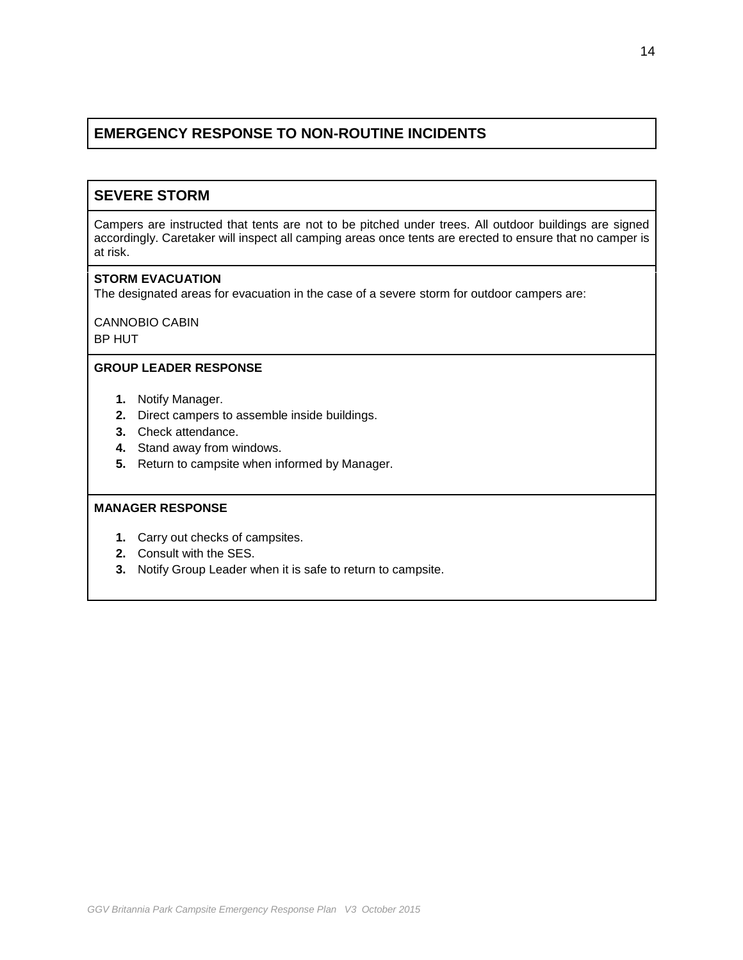# **SEVERE STORM**

Campers are instructed that tents are not to be pitched under trees. All outdoor buildings are signed accordingly. Caretaker will inspect all camping areas once tents are erected to ensure that no camper is at risk.

### **STORM EVACUATION**

The designated areas for evacuation in the case of a severe storm for outdoor campers are:

CANNOBIO CABIN BP HUT

### **GROUP LEADER RESPONSE**

- **1.** Notify Manager.
- **2.** Direct campers to assemble inside buildings.
- **3.** Check attendance.
- **4.** Stand away from windows.
- **5.** Return to campsite when informed by Manager.

- **1.** Carry out checks of campsites.
- **2.** Consult with the SES.
- **3.** Notify Group Leader when it is safe to return to campsite.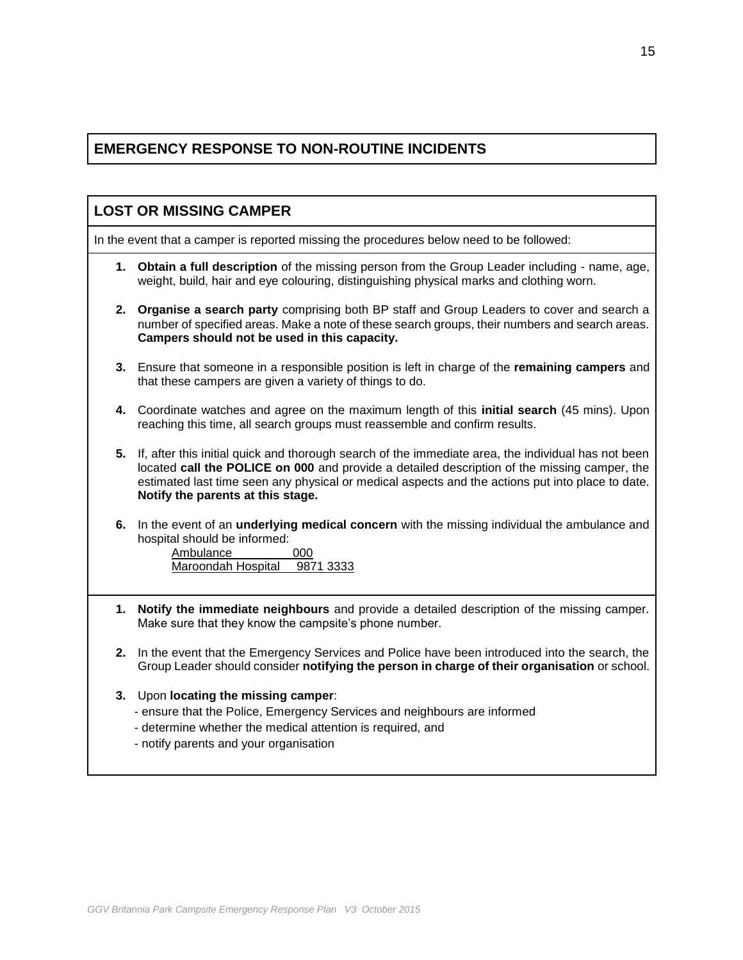| <b>LOST OR MISSING CAMPER</b>                                                            |                                                                                                                                                                                                                                                                                                                                              |
|------------------------------------------------------------------------------------------|----------------------------------------------------------------------------------------------------------------------------------------------------------------------------------------------------------------------------------------------------------------------------------------------------------------------------------------------|
| In the event that a camper is reported missing the procedures below need to be followed: |                                                                                                                                                                                                                                                                                                                                              |
|                                                                                          | 1. Obtain a full description of the missing person from the Group Leader including - name, age,<br>weight, build, hair and eye colouring, distinguishing physical marks and clothing worn.                                                                                                                                                   |
| 2.                                                                                       | Organise a search party comprising both BP staff and Group Leaders to cover and search a<br>number of specified areas. Make a note of these search groups, their numbers and search areas.<br>Campers should not be used in this capacity.                                                                                                   |
| 3.                                                                                       | Ensure that someone in a responsible position is left in charge of the remaining campers and<br>that these campers are given a variety of things to do.                                                                                                                                                                                      |
| 4.                                                                                       | Coordinate watches and agree on the maximum length of this <b>initial search</b> (45 mins). Upon<br>reaching this time, all search groups must reassemble and confirm results.                                                                                                                                                               |
| 5.                                                                                       | If, after this initial quick and thorough search of the immediate area, the individual has not been<br>located call the POLICE on 000 and provide a detailed description of the missing camper, the<br>estimated last time seen any physical or medical aspects and the actions put into place to date.<br>Notify the parents at this stage. |
| 6.                                                                                       | In the event of an <b>underlying medical concern</b> with the missing individual the ambulance and<br>hospital should be informed:<br>Ambulance<br>000<br>Maroondah Hospital<br>9871 3333                                                                                                                                                    |
| 1.                                                                                       | Notify the immediate neighbours and provide a detailed description of the missing camper.<br>Make sure that they know the campsite's phone number.                                                                                                                                                                                           |
| 2.                                                                                       | In the event that the Emergency Services and Police have been introduced into the search, the<br>Group Leader should consider notifying the person in charge of their organisation or school.                                                                                                                                                |
| 3.                                                                                       | Upon locating the missing camper:<br>- ensure that the Police, Emergency Services and neighbours are informed<br>- determine whether the medical attention is required, and<br>- notify parents and your organisation                                                                                                                        |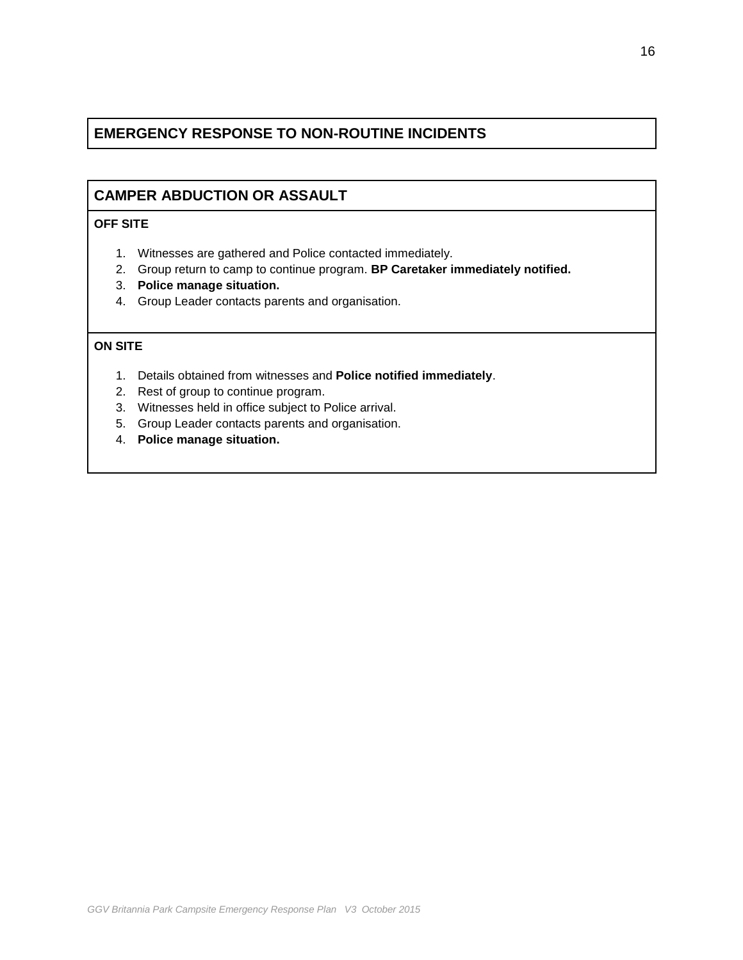# **CAMPER ABDUCTION OR ASSAULT**

## **OFF SITE**

- 1. Witnesses are gathered and Police contacted immediately.
- 2. Group return to camp to continue program. **BP Caretaker immediately notified.**
- 3. **Police manage situation.**
- 4. Group Leader contacts parents and organisation.

## **ON SITE**

- 1. Details obtained from witnesses and **Police notified immediately**.
- 2. Rest of group to continue program.
- 3. Witnesses held in office subject to Police arrival.
- 5. Group Leader contacts parents and organisation.
- 4. **Police manage situation.**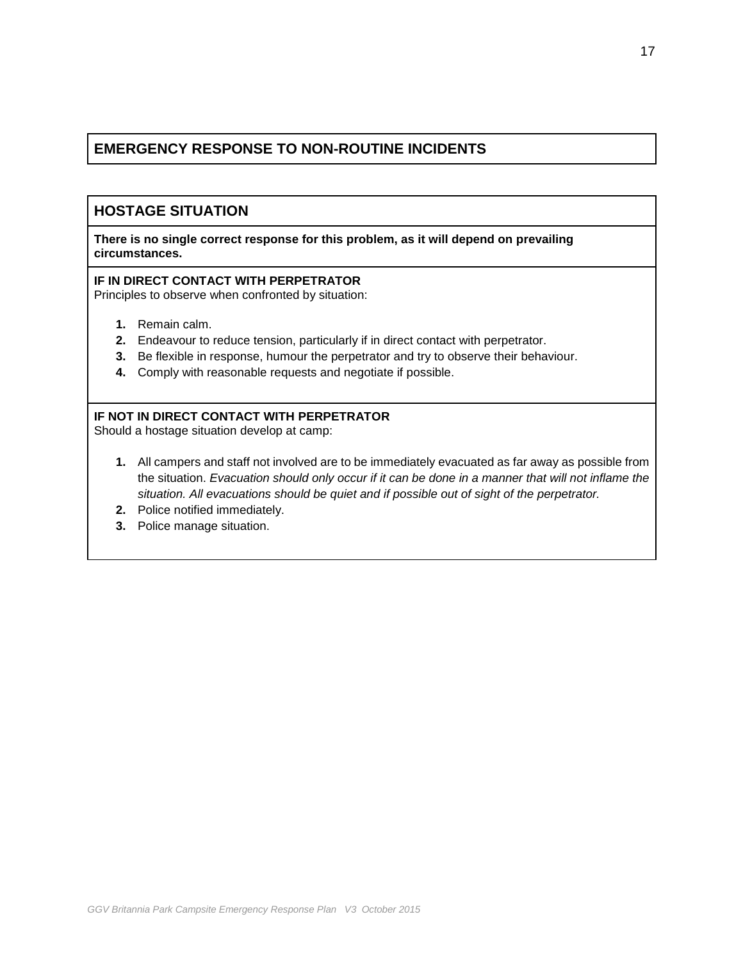## **HOSTAGE SITUATION**

**There is no single correct response for this problem, as it will depend on prevailing circumstances.**

### **IF IN DIRECT CONTACT WITH PERPETRATOR**

Principles to observe when confronted by situation:

- **1.** Remain calm.
- **2.** Endeavour to reduce tension, particularly if in direct contact with perpetrator.
- **3.** Be flexible in response, humour the perpetrator and try to observe their behaviour.
- **4.** Comply with reasonable requests and negotiate if possible.

## **IF NOT IN DIRECT CONTACT WITH PERPETRATOR**

Should a hostage situation develop at camp:

- **1.** All campers and staff not involved are to be immediately evacuated as far away as possible from the situation. *Evacuation should only occur if it can be done in a manner that will not inflame the situation. All evacuations should be quiet and if possible out of sight of the perpetrator.*
- **2.** Police notified immediately.
- **3.** Police manage situation.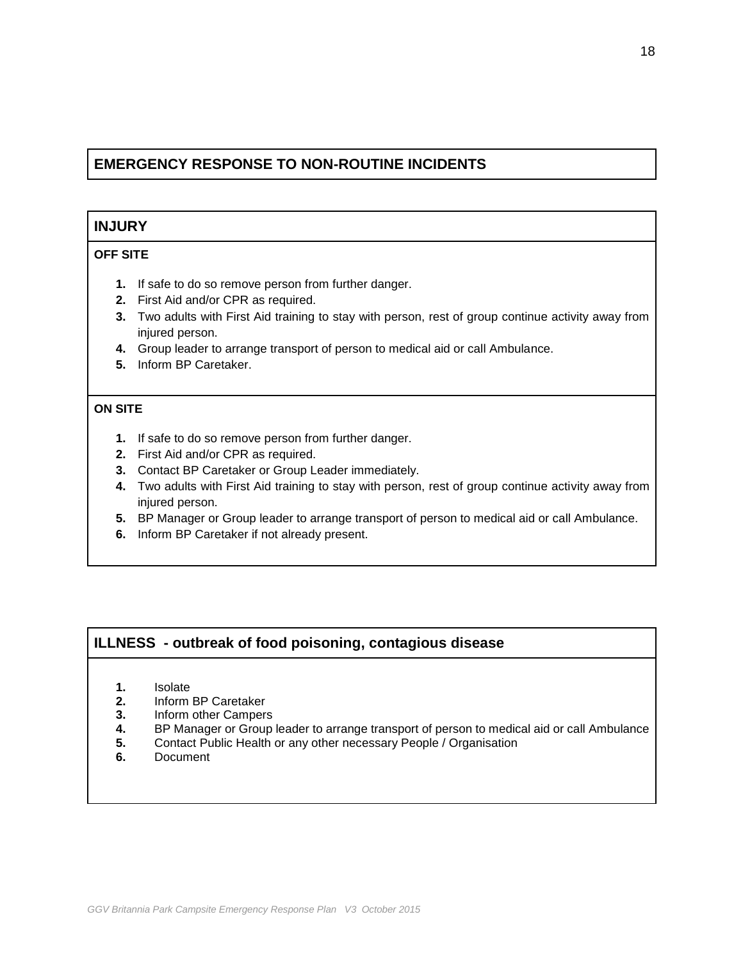## **INJURY**

### **OFF SITE**

- **1.** If safe to do so remove person from further danger.
- **2.** First Aid and/or CPR as required.
- **3.** Two adults with First Aid training to stay with person, rest of group continue activity away from injured person.
- **4.** Group leader to arrange transport of person to medical aid or call Ambulance.
- **5.** Inform BP Caretaker.

### **ON SITE**

- **1.** If safe to do so remove person from further danger.
- **2.** First Aid and/or CPR as required.
- **3.** Contact BP Caretaker or Group Leader immediately.
- **4.** Two adults with First Aid training to stay with person, rest of group continue activity away from injured person.
- **5.** BP Manager or Group leader to arrange transport of person to medical aid or call Ambulance.
- **6.** Inform BP Caretaker if not already present.

## **ILLNESS - outbreak of food poisoning, contagious disease**

- **1.** Isolate
- **2.** Inform BP Caretaker
- **3.** Inform other Campers
- **4.** BP Manager or Group leader to arrange transport of person to medical aid or call Ambulance
- **5.** Contact Public Health or any other necessary People / Organisation
- **6.** Document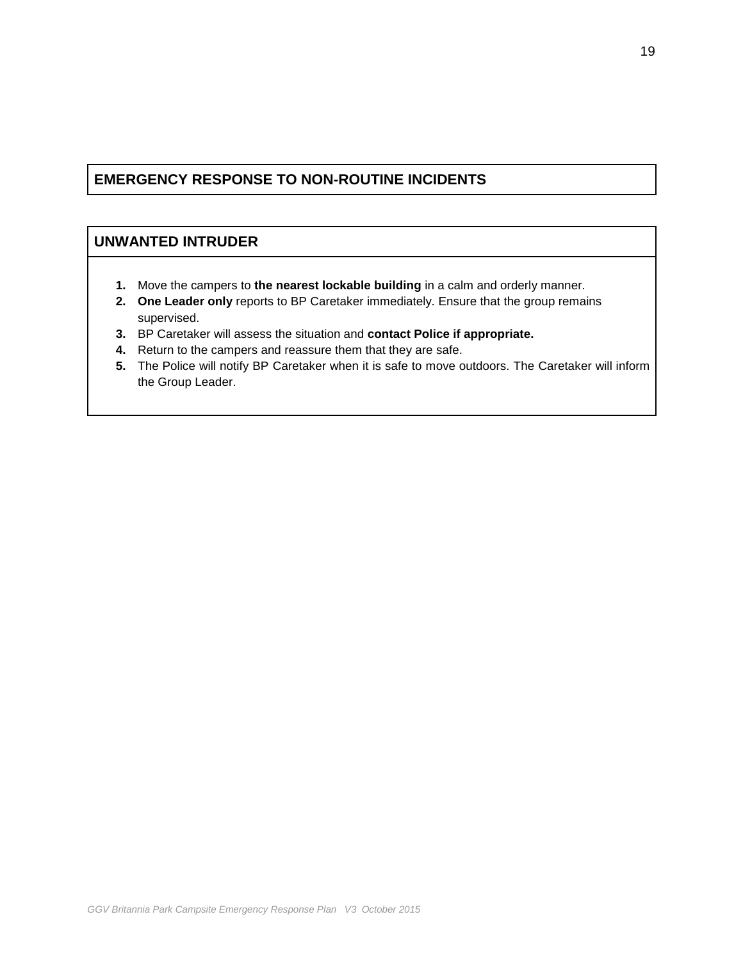## **UNWANTED INTRUDER**

- **1.** Move the campers to **the nearest lockable building** in a calm and orderly manner.
- **2. One Leader only** reports to BP Caretaker immediately. Ensure that the group remains supervised.
- **3.** BP Caretaker will assess the situation and **contact Police if appropriate.**
- **4.** Return to the campers and reassure them that they are safe.
- **5.** The Police will notify BP Caretaker when it is safe to move outdoors. The Caretaker will inform the Group Leader.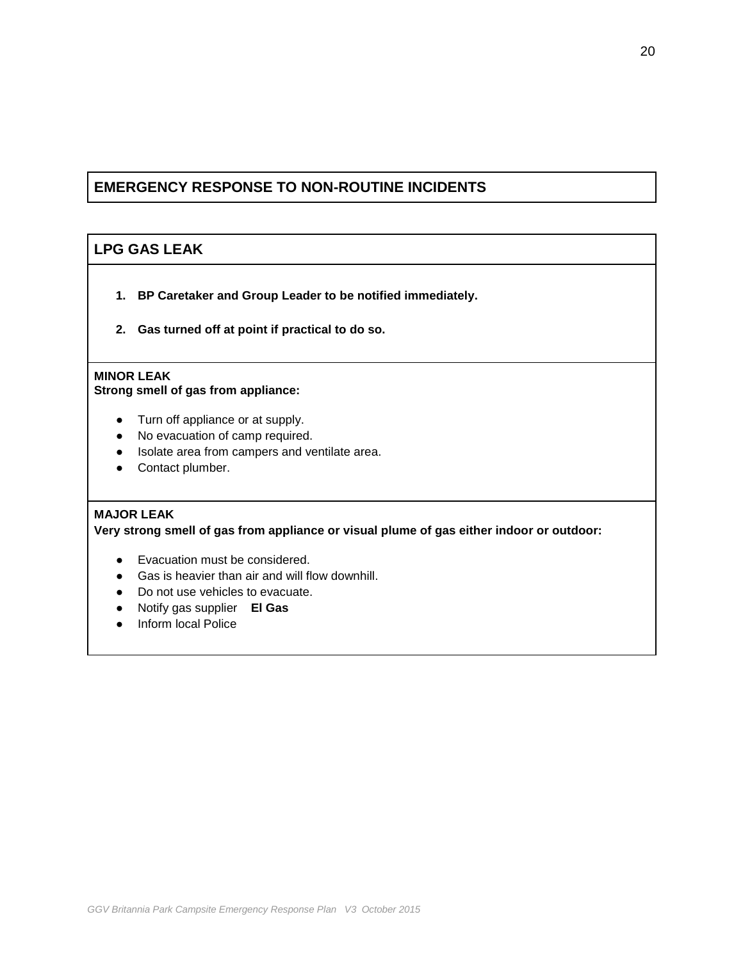# **LPG GAS LEAK**

- **1. BP Caretaker and Group Leader to be notified immediately.**
- **2. Gas turned off at point if practical to do so.**

## **MINOR LEAK**

**Strong smell of gas from appliance:**

- Turn off appliance or at supply.
- No evacuation of camp required.
- Isolate area from campers and ventilate area.
- Contact plumber.

## **MAJOR LEAK**

**Very strong smell of gas from appliance or visual plume of gas either indoor or outdoor:**

- Evacuation must be considered.
- Gas is heavier than air and will flow downhill.
- Do not use vehicles to evacuate.
- Notify gas supplier **El Gas**
- Inform local Police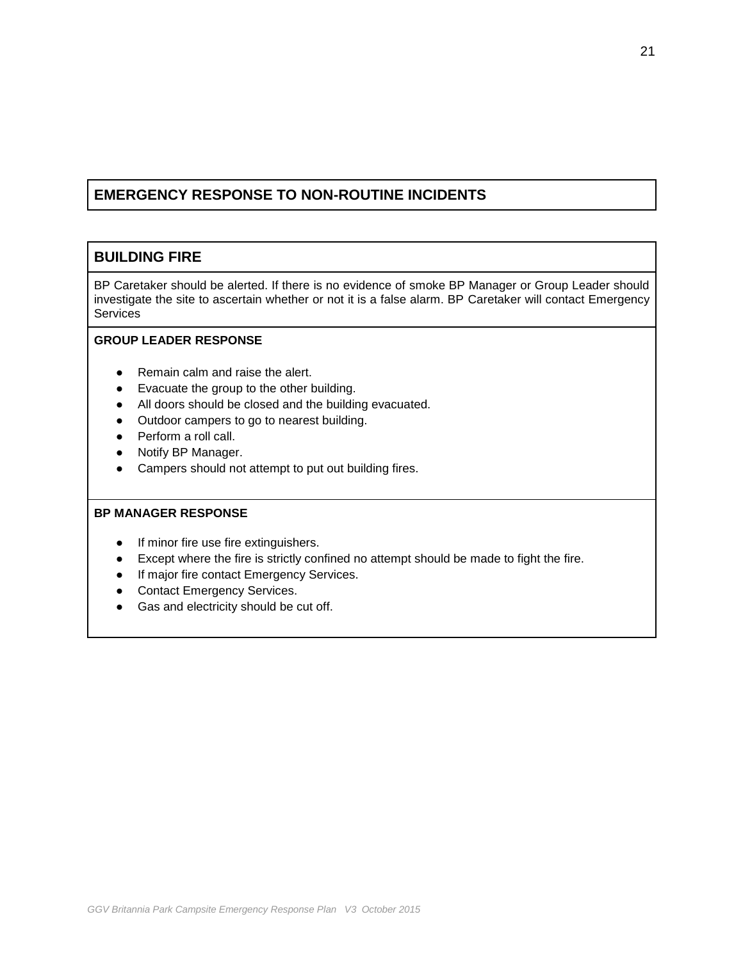## **BUILDING FIRE**

BP Caretaker should be alerted. If there is no evidence of smoke BP Manager or Group Leader should investigate the site to ascertain whether or not it is a false alarm. BP Caretaker will contact Emergency **Services** 

## **GROUP LEADER RESPONSE**

- **●** Remain calm and raise the alert.
- **●** Evacuate the group to the other building.
- **●** All doors should be closed and the building evacuated.
- **●** Outdoor campers to go to nearest building.
- **●** Perform a roll call.
- **●** Notify BP Manager.
- **●** Campers should not attempt to put out building fires.

- If minor fire use fire extinguishers.
- Except where the fire is strictly confined no attempt should be made to fight the fire.
- If major fire contact Emergency Services.
- Contact Emergency Services.
- Gas and electricity should be cut off.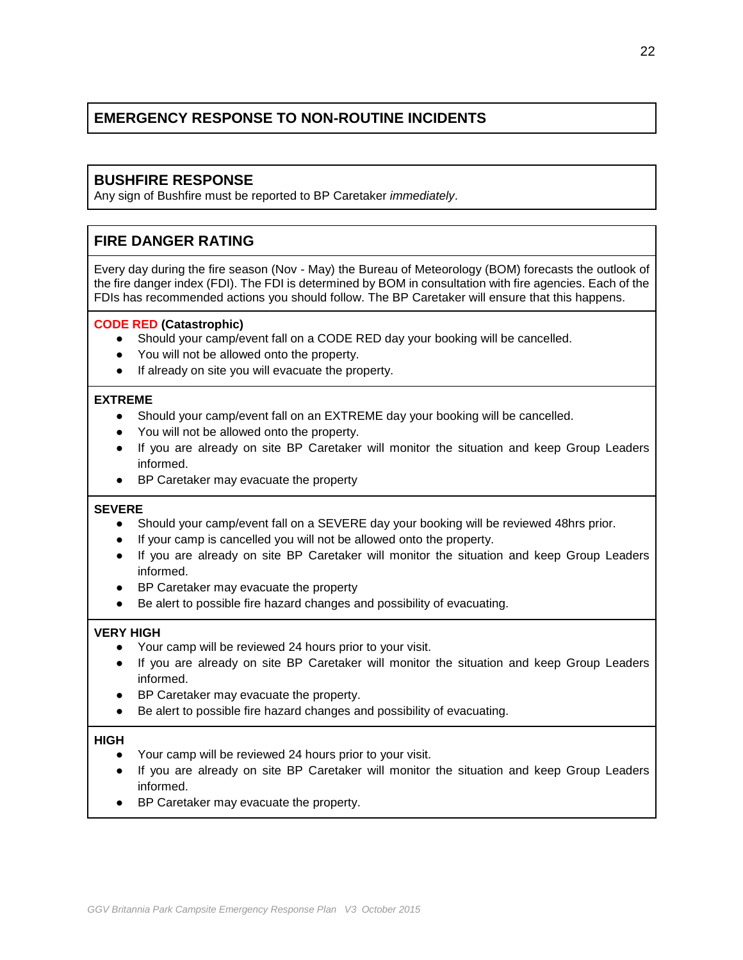## **BUSHFIRE RESPONSE**

Any sign of Bushfire must be reported to BP Caretaker *immediately*.

# **FIRE DANGER RATING**

Every day during the fire season (Nov - May) the Bureau of Meteorology (BOM) forecasts the outlook of the fire danger index (FDI). The FDI is determined by BOM in consultation with fire agencies. Each of the FDIs has recommended actions you should follow. The BP Caretaker will ensure that this happens.

### **CODE RED (Catastrophic)**

- Should your camp/event fall on a CODE RED day your booking will be cancelled.
- You will not be allowed onto the property.
- If already on site you will evacuate the property.

#### **EXTREME**

- Should your camp/event fall on an EXTREME day your booking will be cancelled.
- You will not be allowed onto the property.
- If you are already on site BP Caretaker will monitor the situation and keep Group Leaders informed.
- BP Caretaker may evacuate the property

#### **SEVERE**

- Should your camp/event fall on a SEVERE day your booking will be reviewed 48hrs prior.
- If your camp is cancelled you will not be allowed onto the property.
- If you are already on site BP Caretaker will monitor the situation and keep Group Leaders informed.
- BP Caretaker may evacuate the property
- Be alert to possible fire hazard changes and possibility of evacuating.

## **VERY HIGH**

- Your camp will be reviewed 24 hours prior to your visit.
- If you are already on site BP Caretaker will monitor the situation and keep Group Leaders informed.
- BP Caretaker may evacuate the property.
- Be alert to possible fire hazard changes and possibility of evacuating.

#### **HIGH**

- Your camp will be reviewed 24 hours prior to your visit.
- If you are already on site BP Caretaker will monitor the situation and keep Group Leaders informed.
- BP Caretaker may evacuate the property.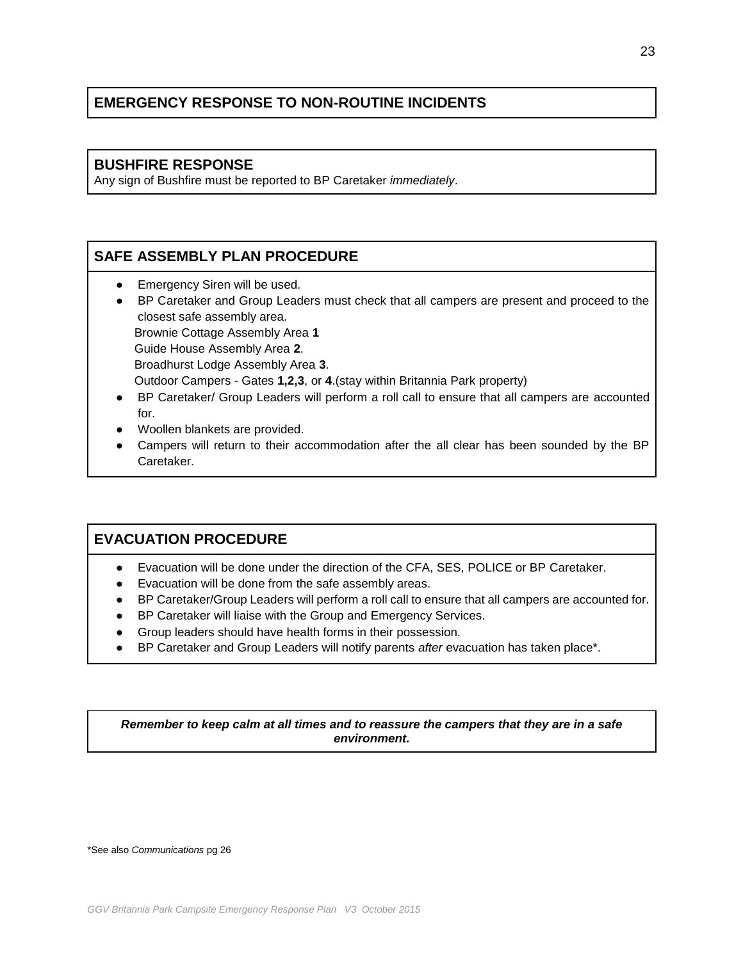## **BUSHFIRE RESPONSE**

Any sign of Bushfire must be reported to BP Caretaker *immediately*.

# **SAFE ASSEMBLY PLAN PROCEDURE**

- **•** Emergency Siren will be used.
- BP Caretaker and Group Leaders must check that all campers are present and proceed to the closest safe assembly area. Brownie Cottage Assembly Area **1**

Guide House Assembly Area **2**.

Broadhurst Lodge Assembly Area **3**.

Outdoor Campers - Gates **1,2,3**, or **4**.(stay within Britannia Park property)

- BP Caretaker/ Group Leaders will perform a roll call to ensure that all campers are accounted for.
- Woollen blankets are provided.
- Campers will return to their accommodation after the all clear has been sounded by the BP Caretaker.

# **EVACUATION PROCEDURE**

- Evacuation will be done under the direction of the CFA, SES, POLICE or BP Caretaker.
- Evacuation will be done from the safe assembly areas.
- BP Caretaker/Group Leaders will perform a roll call to ensure that all campers are accounted for.
- BP Caretaker will liaise with the Group and Emergency Services.
- Group leaders should have health forms in their possession.
- BP Caretaker and Group Leaders will notify parents *after* evacuation has taken place<sup>\*</sup>.

*Remember to keep calm at all times and to reassure the campers that they are in a safe environment.*

\*See also *Communications* pg 26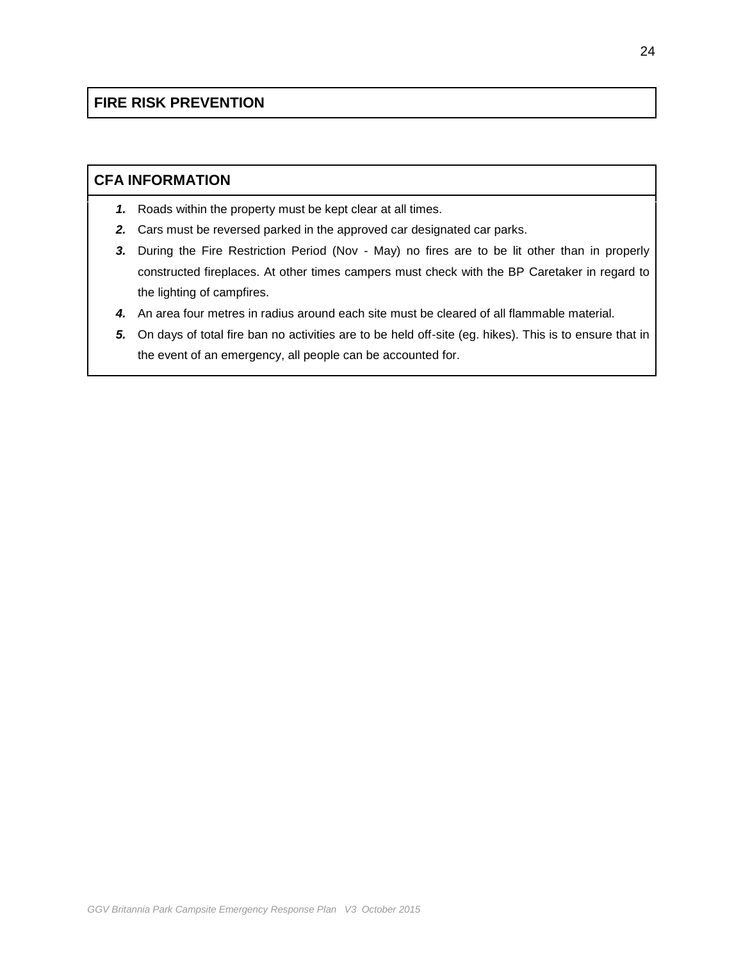# **FIRE RISK PREVENTION**

## **CFA INFORMATION**

- *1.* Roads within the property must be kept clear at all times.
- *2.* Cars must be reversed parked in the approved car designated car parks.
- *3.* During the Fire Restriction Period (Nov May) no fires are to be lit other than in properly constructed fireplaces. At other times campers must check with the BP Caretaker in regard to the lighting of campfires.
- *4.* An area four metres in radius around each site must be cleared of all flammable material.
- *5.* On days of total fire ban no activities are to be held off-site (eg. hikes). This is to ensure that in the event of an emergency, all people can be accounted for.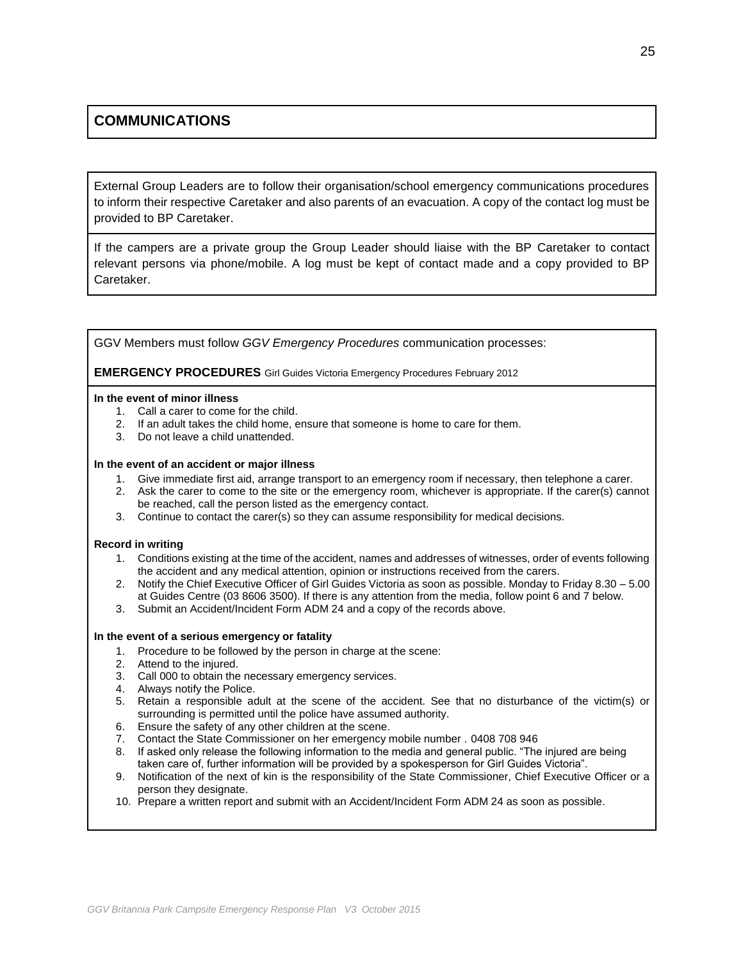# **COMMUNICATIONS**

External Group Leaders are to follow their organisation/school emergency communications procedures to inform their respective Caretaker and also parents of an evacuation. A copy of the contact log must be provided to BP Caretaker.

If the campers are a private group the Group Leader should liaise with the BP Caretaker to contact relevant persons via phone/mobile. A log must be kept of contact made and a copy provided to BP Caretaker.

GGV Members must follow *GGV Emergency Procedures* communication processes:

**EMERGENCY PROCEDURES** Girl Guides Victoria Emergency Procedures February 2012

#### **In the event of minor illness**

- 1. Call a carer to come for the child.
- 2. If an adult takes the child home, ensure that someone is home to care for them.
- 3. Do not leave a child unattended.

#### **In the event of an accident or major illness**

- 1. Give immediate first aid, arrange transport to an emergency room if necessary, then telephone a carer.
- 2. Ask the carer to come to the site or the emergency room, whichever is appropriate. If the carer(s) cannot be reached, call the person listed as the emergency contact.
- 3. Continue to contact the carer(s) so they can assume responsibility for medical decisions.

#### **Record in writing**

- 1. Conditions existing at the time of the accident, names and addresses of witnesses, order of events following the accident and any medical attention, opinion or instructions received from the carers.
- 2. Notify the Chief Executive Officer of Girl Guides Victoria as soon as possible. Monday to Friday 8.30 5.00 at Guides Centre (03 8606 3500). If there is any attention from the media, follow point 6 and 7 below.
- 3. Submit an Accident/Incident Form ADM 24 and a copy of the records above.

#### **In the event of a serious emergency or fatality**

- 1. Procedure to be followed by the person in charge at the scene:
- 2. Attend to the injured.
- 3. Call 000 to obtain the necessary emergency services.
- 4. Always notify the Police.
- 5. Retain a responsible adult at the scene of the accident. See that no disturbance of the victim(s) or surrounding is permitted until the police have assumed authority.
- 6. Ensure the safety of any other children at the scene.
- 7. Contact the State Commissioner on her emergency mobile number . 0408 708 946
- 8. If asked only release the following information to the media and general public. "The injured are being taken care of, further information will be provided by a spokesperson for Girl Guides Victoria".
- 9. Notification of the next of kin is the responsibility of the State Commissioner, Chief Executive Officer or a person they designate.
- 10. Prepare a written report and submit with an Accident/Incident Form ADM 24 as soon as possible.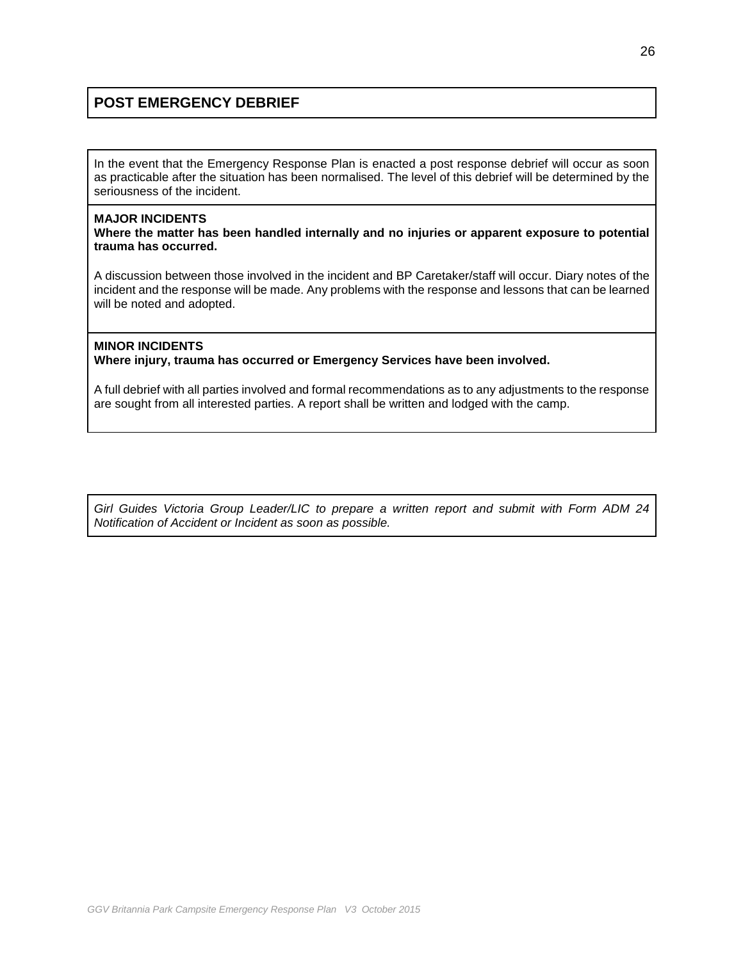# **POST EMERGENCY DEBRIEF**

In the event that the Emergency Response Plan is enacted a post response debrief will occur as soon as practicable after the situation has been normalised. The level of this debrief will be determined by the seriousness of the incident.

#### **MAJOR INCIDENTS**

**Where the matter has been handled internally and no injuries or apparent exposure to potential trauma has occurred.**

A discussion between those involved in the incident and BP Caretaker/staff will occur. Diary notes of the incident and the response will be made. Any problems with the response and lessons that can be learned will be noted and adopted.

### **MINOR INCIDENTS Where injury, trauma has occurred or Emergency Services have been involved.**

A full debrief with all parties involved and formal recommendations as to any adjustments to the response are sought from all interested parties. A report shall be written and lodged with the camp.

*Girl Guides Victoria Group Leader/LIC to prepare a written report and submit with Form ADM 24 Notification of Accident or Incident as soon as possible.*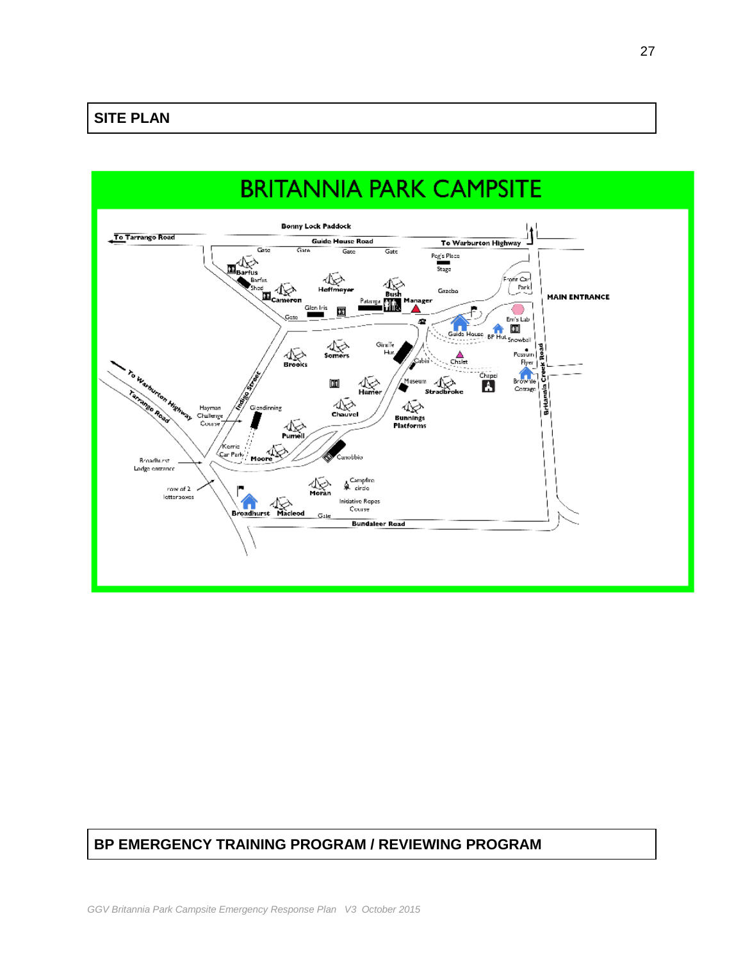

## **BP EMERGENCY TRAINING PROGRAM / REVIEWING PROGRAM**